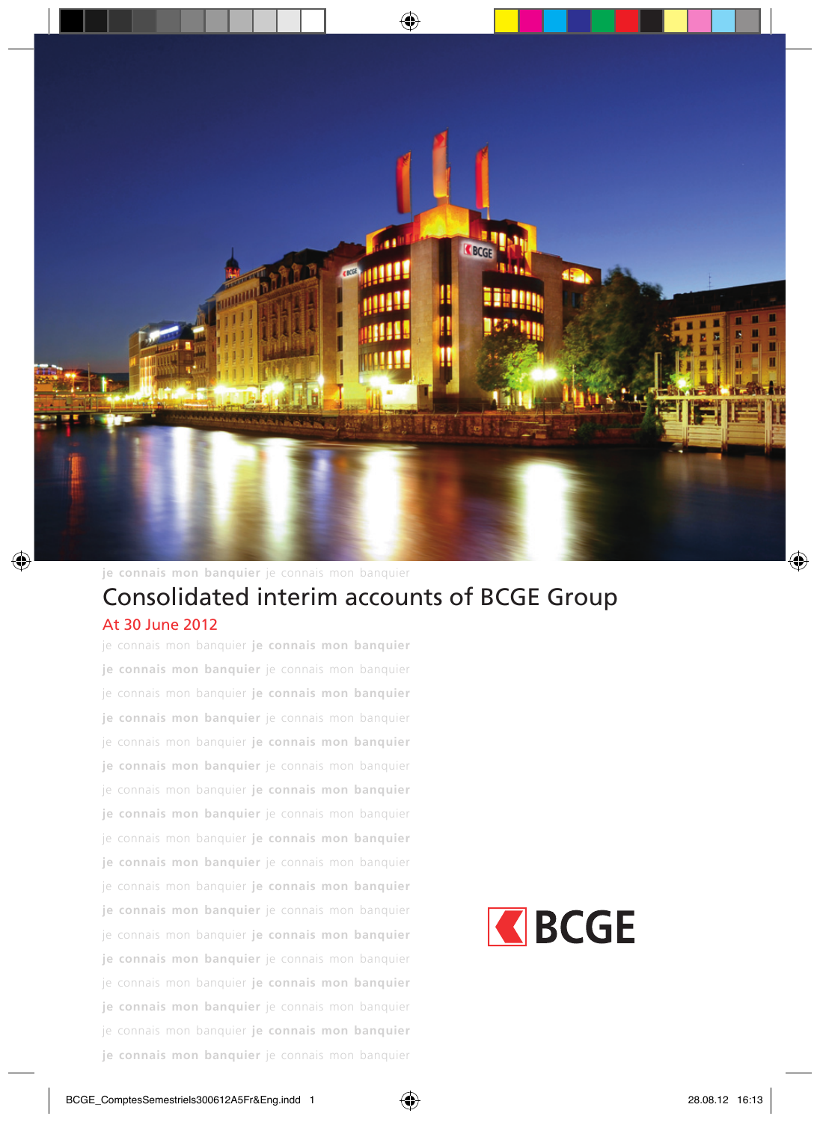

**je connais mon banquier** je connais mon banquier

#### Consolidated interim accounts of BCGE Group **je connais mon banquier** je connais mon banquier At 30 June 2012

je connais mon banquier **je connais mon banquier je connais mon banquier** je connais mon banquier je connais mon banquier **je connais mon banquier je connais mon banquier** je connais mon banquier je connais mon banquier **je connais mon banquier je connais mon banquier** je connais mon banquier je connais mon banquier **je connais mon banquier je connais mon banquier** je connais mon banquier je connais mon banquier **je connais mon banquier je connais mon banquier** je connais mon banquier je connais mon banquier **je connais mon banquier je connais mon banquier** je connais mon banquier je connais mon banquier **je connais mon banquier je connais mon banquier** je connais mon banquier je connais mon banquier **je connais mon banquier je connais mon banquier** je connais mon banquier je connais mon banquier **je connais mon banquier je connais mon banquier** je connais mon banquier

# REGE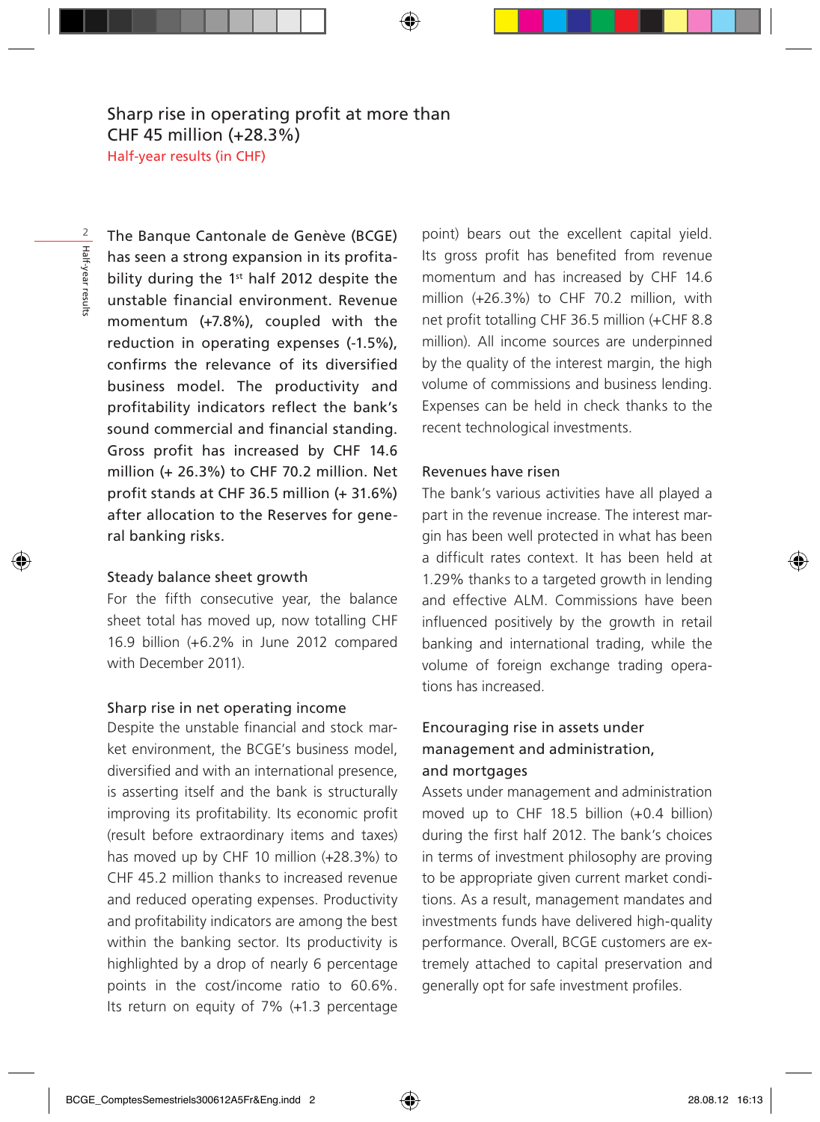The Banque Cantonale de Genève (BCGE) has seen a strong expansion in its profitability during the 1st half 2012 despite the unstable financial environment. Revenue momentum (+7.8%), coupled with the reduction in operating expenses (-1.5%), confirms the relevance of its diversified business model. The productivity and profitability indicators reflect the bank's sound commercial and financial standing. Gross profit has increased by CHF 14.6 million (+ 26.3%) to CHF 70.2 million. Net profit stands at CHF 36.5 million (+ 31.6%) after allocation to the Reserves for general banking risks.

#### Steady balance sheet growth

For the fifth consecutive year, the balance sheet total has moved up, now totalling CHF 16.9 billion (+6.2% in June 2012 compared with December 2011)

#### Sharp rise in net operating income

Despite the unstable financial and stock market environment, the BCGE's business model, diversified and with an international presence, is asserting itself and the bank is structurally improving its profitability. Its economic profit (result before extraordinary items and taxes) has moved up by CHF 10 million (+28.3%) to CHF 45.2 million thanks to increased revenue and reduced operating expenses. Productivity and profitability indicators are among the best within the banking sector. Its productivity is highlighted by a drop of nearly 6 percentage points in the cost/income ratio to 60.6%. Its return on equity of 7% (+1.3 percentage point) bears out the excellent capital yield. Its gross profit has benefited from revenue momentum and has increased by CHF 14.6 million (+26.3%) to CHF 70.2 million, with net profit totalling CHF 36.5 million (+CHF 8.8 million). All income sources are underpinned by the quality of the interest margin, the high volume of commissions and business lending. Expenses can be held in check thanks to the recent technological investments.

#### Revenues have risen

The bank's various activities have all played a part in the revenue increase. The interest margin has been well protected in what has been a difficult rates context. It has been held at 1.29% thanks to a targeted growth in lending and effective ALM. Commissions have been influenced positively by the growth in retail banking and international trading, while the volume of foreign exchange trading operations has increased.

#### Encouraging rise in assets under management and administration, and mortgages

Assets under management and administration moved up to CHF 18.5 billion (+0.4 billion) during the first half 2012. The bank's choices in terms of investment philosophy are proving to be appropriate given current market conditions. As a result, management mandates and investments funds have delivered high-quality performance. Overall, BCGE customers are extremely attached to capital preservation and generally opt for safe investment profiles.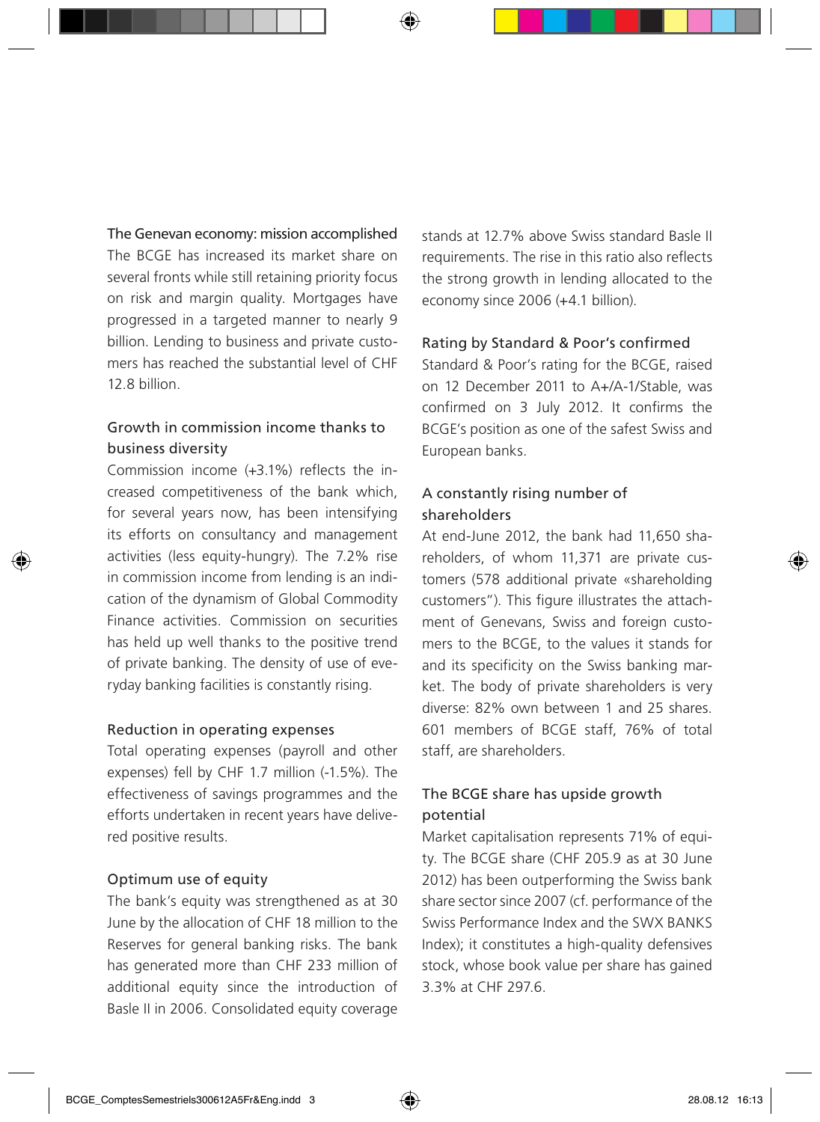The Genevan economy: mission accomplished

The BCGE has increased its market share on several fronts while still retaining priority focus on risk and margin quality. Mortgages have progressed in a targeted manner to nearly 9 billion. Lending to business and private customers has reached the substantial level of CHF 12.8 billion.

#### Growth in commission income thanks to business diversity

Commission income (+3.1%) reflects the increased competitiveness of the bank which, for several years now, has been intensifying its efforts on consultancy and management activities (less equity-hungry). The 7.2% rise in commission income from lending is an indication of the dynamism of Global Commodity Finance activities. Commission on securities has held up well thanks to the positive trend of private banking. The density of use of everyday banking facilities is constantly rising.

#### Reduction in operating expenses

Total operating expenses (payroll and other expenses) fell by CHF 1.7 million (-1.5%). The effectiveness of savings programmes and the efforts undertaken in recent years have delivered positive results.

#### Optimum use of equity

The bank's equity was strengthened as at 30 June by the allocation of CHF 18 million to the Reserves for general banking risks. The bank has generated more than CHF 233 million of additional equity since the introduction of Basle II in 2006. Consolidated equity coverage stands at 12.7% above Swiss standard Basle II requirements. The rise in this ratio also reflects the strong growth in lending allocated to the economy since 2006 (+4.1 billion).

#### Rating by Standard & Poor's confirmed

Standard & Poor's rating for the BCGE, raised on 12 December 2011 to A+/A-1/Stable, was confirmed on 3 July 2012. It confirms the BCGE's position as one of the safest Swiss and European banks.

#### A constantly rising number of shareholders

At end-June 2012, the bank had 11,650 shareholders, of whom 11,371 are private customers (578 additional private «shareholding customers"). This figure illustrates the attachment of Genevans, Swiss and foreign customers to the BCGE, to the values it stands for and its specificity on the Swiss banking market. The body of private shareholders is very diverse: 82% own between 1 and 25 shares. 601 members of BCGE staff, 76% of total staff, are shareholders.

#### The BCGE share has upside growth potential

Market capitalisation represents 71% of equity. The BCGE share (CHE 205.9 as at 30 June 2012) has been outperforming the Swiss bank share sector since 2007 (cf. performance of the Swiss Performance Index and the SWX BANKS Index); it constitutes a high-quality defensives stock, whose book value per share has gained 3.3% at CHF 297.6.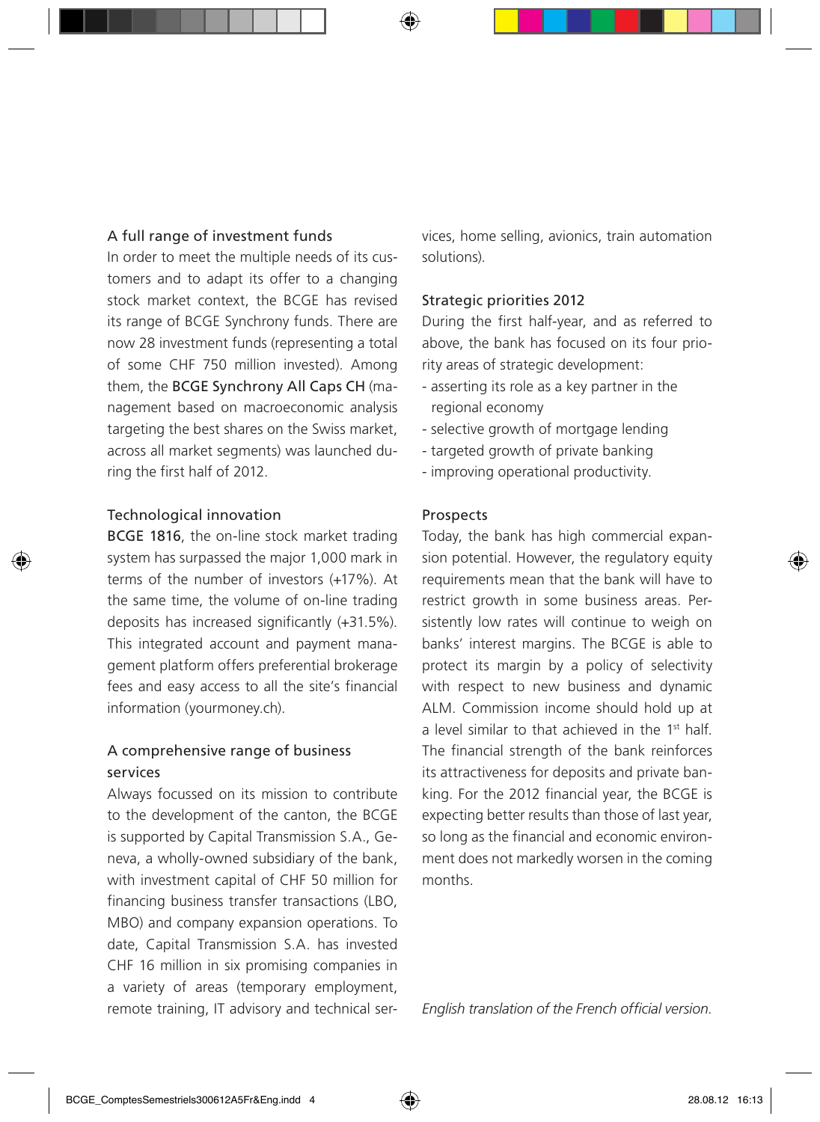#### A full range of investment funds

In order to meet the multiple needs of its customers and to adapt its offer to a changing stock market context, the BCGE has revised its range of BCGE Synchrony funds. There are now 28 investment funds (representing a total of some CHF 750 million invested). Among them, the BCGE Synchrony All Caps CH (management based on macroeconomic analysis targeting the best shares on the Swiss market, across all market segments) was launched during the first half of 2012.

#### Technological innovation

BCGE 1816, the on-line stock market trading system has surpassed the major 1,000 mark in terms of the number of investors (+17%). At the same time, the volume of on-line trading deposits has increased significantly (+31.5%). This integrated account and payment management platform offers preferential brokerage fees and easy access to all the site's financial information (yourmoney.ch).

#### A comprehensive range of business services

Always focussed on its mission to contribute to the development of the canton, the BCGE is supported by Capital Transmission S.A., Geneva, a wholly-owned subsidiary of the bank, with investment capital of CHF 50 million for financing business transfer transactions (LBO, MBO) and company expansion operations. To date, Capital Transmission S.A. has invested CHF 16 million in six promising companies in a variety of areas (temporary employment, remote training, IT advisory and technical services, home selling, avionics, train automation solutions).

#### Strategic priorities 2012

During the first half-year, and as referred to above, the bank has focused on its four priority areas of strategic development:

- asserting its role as a key partner in the regional economy
- selective growth of mortgage lending
- targeted growth of private banking
- improving operational productivity.

#### Prospects

Today, the bank has high commercial expansion potential. However, the regulatory equity requirements mean that the bank will have to restrict growth in some business areas. Persistently low rates will continue to weigh on banks' interest margins. The BCGE is able to protect its margin by a policy of selectivity with respect to new business and dynamic ALM. Commission income should hold up at a level similar to that achieved in the 1st half. The financial strength of the bank reinforces its attractiveness for deposits and private banking. For the 2012 financial year, the BCGE is expecting better results than those of last year, so long as the financial and economic environment does not markedly worsen in the coming months.

*English translation of the French official version.*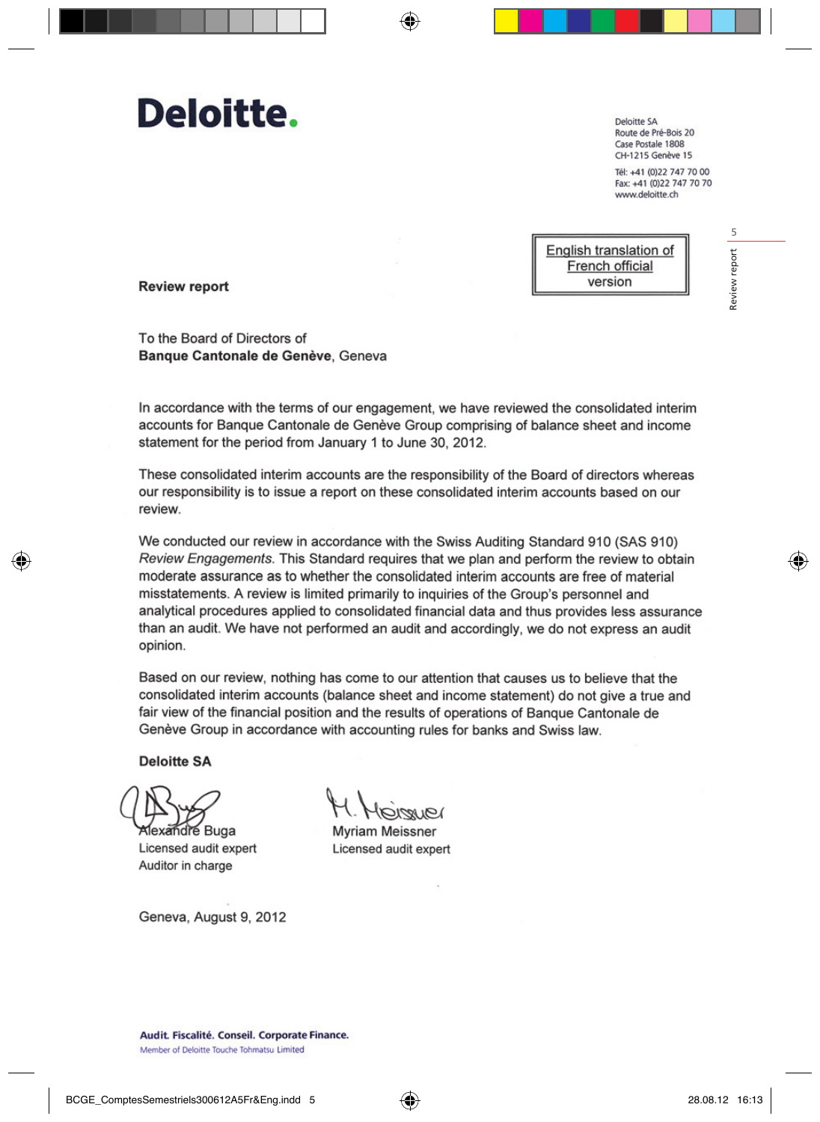## Deloitte.

Deloitte SA Route de Pré-Bois 20 Case Postale 1808 CH-1215 Genève 15

Tél: +41 (0)22 747 70 00 Fax: +41 (0)22 747 70 70 www.deloitte.ch



**Review report** 

To the Board of Directors of Banque Cantonale de Genève, Geneva

In accordance with the terms of our engagement, we have reviewed the consolidated interim accounts for Banque Cantonale de Genève Group comprising of balance sheet and income statement for the period from January 1 to June 30, 2012.

These consolidated interim accounts are the responsibility of the Board of directors whereas our responsibility is to issue a report on these consolidated interim accounts based on our review.

We conducted our review in accordance with the Swiss Auditing Standard 910 (SAS 910) Review Engagements. This Standard requires that we plan and perform the review to obtain moderate assurance as to whether the consolidated interim accounts are free of material misstatements. A review is limited primarily to inquiries of the Group's personnel and analytical procedures applied to consolidated financial data and thus provides less assurance than an audit. We have not performed an audit and accordingly, we do not express an audit opinion.

Based on our review, nothing has come to our attention that causes us to believe that the consolidated interim accounts (balance sheet and income statement) do not give a true and fair view of the financial position and the results of operations of Bangue Cantonale de Genève Group in accordance with accounting rules for banks and Swiss law.

**Deloitte SA** 

andre Buga

Licensed audit expert Auditor in charge

**Myriam Meissner** Licensed audit expert

Geneva, August 9, 2012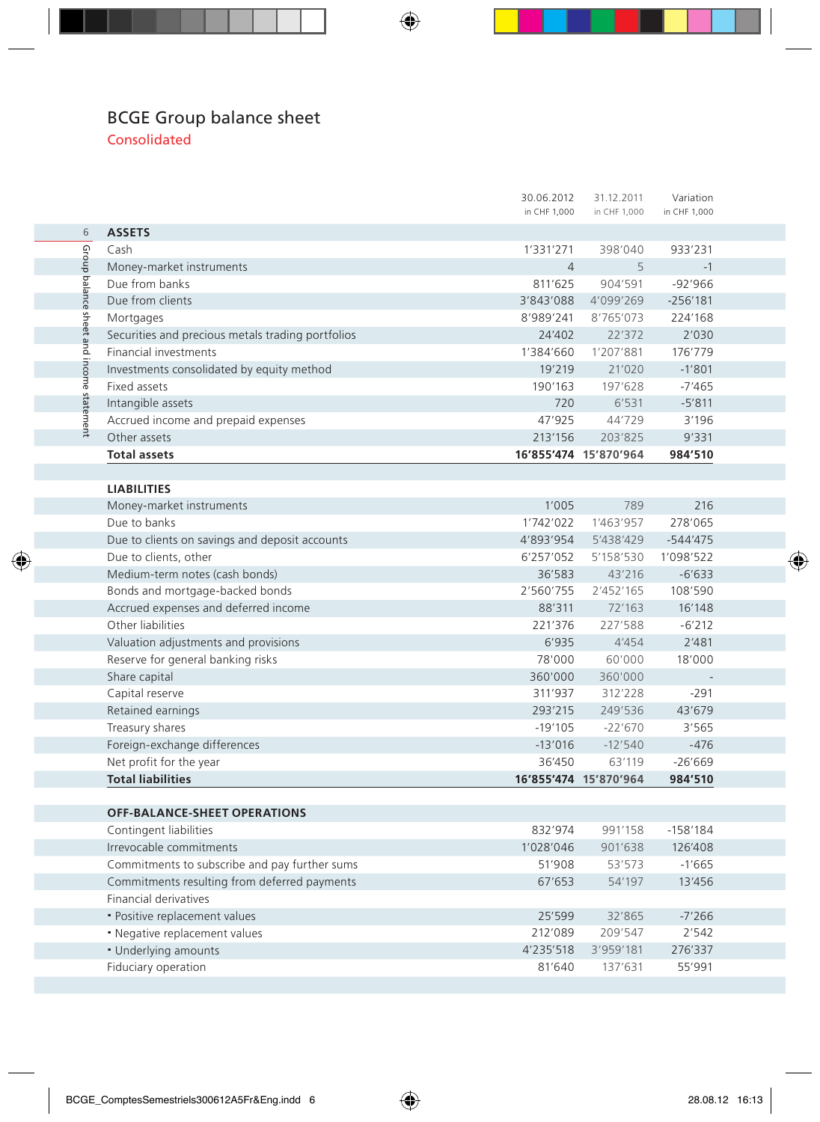#### BCGE Group balance sheet Consolidated

|                                                   | 30.06.2012     | 31.12.2011            | Variation    |  |
|---------------------------------------------------|----------------|-----------------------|--------------|--|
|                                                   | in CHF 1,000   | in CHF 1,000          | in CHF 1,000 |  |
| <b>ASSETS</b>                                     |                |                       |              |  |
| Cash                                              | 1'331'271      | 398'040               | 933'231      |  |
| Money-market instruments                          | $\overline{4}$ | 5                     | $-1$         |  |
| Due from banks                                    | 811'625        | 904'591               | $-92'966$    |  |
| Due from clients                                  | 3'843'088      | 4'099'269             | $-256'181$   |  |
| Mortgages                                         | 8'989'241      | 8'765'073             | 224'168      |  |
| Securities and precious metals trading portfolios | 24'402         | 22'372                | 2'030        |  |
| Financial investments                             | 1'384'660      | 1'207'881             | 176'779      |  |
| Investments consolidated by equity method         | 19'219         | 21'020                | $-1'801$     |  |
| Fixed assets                                      | 190'163        | 197'628               | $-7'465$     |  |
| Intangible assets                                 | 720            | 6'531                 | $-5'811$     |  |
| Accrued income and prepaid expenses               | 47'925         | 44'729                | 3'196        |  |
| Other assets                                      | 213'156        | 203'825               | 9'331        |  |
| <b>Total assets</b>                               |                | 16'855'474 15'870'964 | 984'510      |  |
|                                                   |                |                       |              |  |
| <b>LIABILITIES</b>                                |                |                       |              |  |
| Money-market instruments                          | 1'005          | 789                   | 216          |  |
| Due to banks                                      | 1'742'022      | 1'463'957             | 278'065      |  |
| Due to clients on savings and deposit accounts    | 4'893'954      | 5'438'429             | $-544'475$   |  |
| Due to clients, other                             | 6'257'052      | 5'158'530             | 1'098'522    |  |
| Medium-term notes (cash bonds)                    | 36'583         | 43'216                | $-6'633$     |  |
| Bonds and mortgage-backed bonds                   | 2'560'755      | 2'452'165             | 108'590      |  |
| Accrued expenses and deferred income              | 88'311         | 72'163                | 16'148       |  |
| Other liabilities                                 | 221'376        | 227'588               | $-6'212$     |  |
| Valuation adjustments and provisions              | 6'935          | 4'454                 | 2'481        |  |
| Reserve for general banking risks                 | 78'000         | 60'000                | 18'000       |  |
| Share capital                                     | 360'000        | 360'000               |              |  |
| Capital reserve                                   | 311'937        | 312'228               | $-291$       |  |
| Retained earnings                                 | 293'215        | 249'536               | 43'679       |  |
| Treasury shares                                   | $-19'105$      | $-22'670$             | 3'565        |  |
| Foreign-exchange differences                      | $-13'016$      | $-12'540$             | $-476$       |  |
| Net profit for the year                           | 36'450         | 63'119                | $-26'669$    |  |
| <b>Total liabilities</b>                          |                | 16'855'474 15'870'964 | 984'510      |  |
|                                                   |                |                       |              |  |
| OFF-BALANCE-SHEET OPERATIONS                      |                |                       |              |  |
| Contingent liabilities                            | 832'974        | 991'158               | $-158'184$   |  |
| Irrevocable commitments                           | 1'028'046      | 901'638               | 126'408      |  |
| Commitments to subscribe and pay further sums     | 51'908         | 53'573                | $-1'665$     |  |
| Commitments resulting from deferred payments      | 67'653         | 54'197                | 13'456       |  |
| Financial derivatives                             |                |                       |              |  |
| · Positive replacement values                     | 25'599         | 32'865                | $-7'266$     |  |
| • Negative replacement values                     | 212'089        | 209'547               | 2'542        |  |
| · Underlying amounts                              | 4'235'518      | 3'959'181             | 276'337      |  |
| Fiduciary operation                               | 81'640         | 137'631               | 55'991       |  |
|                                                   |                |                       |              |  |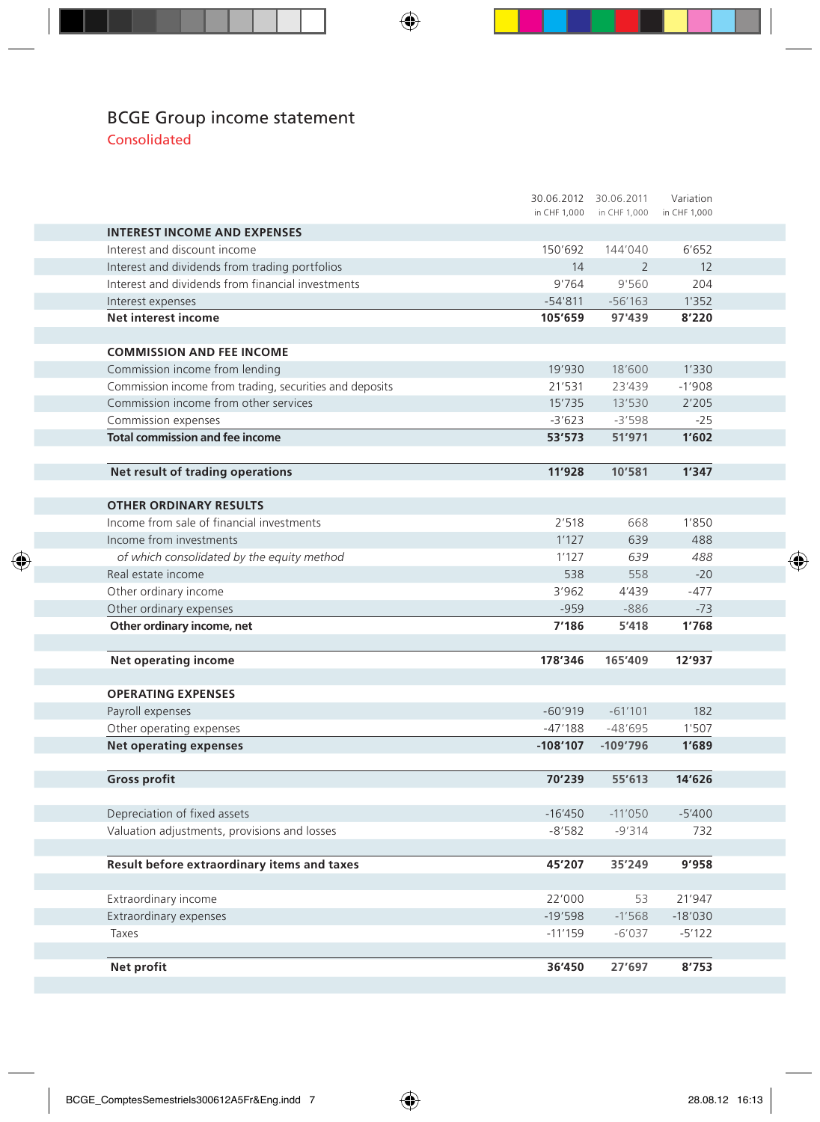### BCGE Group income statement

Consolidated

|                                                         | 30.06.2012 30.06.2011 |                           | Variation    |  |
|---------------------------------------------------------|-----------------------|---------------------------|--------------|--|
|                                                         |                       | in CHF 1,000 in CHF 1,000 | in CHF 1,000 |  |
| <b>INTEREST INCOME AND EXPENSES</b>                     |                       |                           |              |  |
| Interest and discount income                            | 150'692               | 144'040                   | 6'652        |  |
| Interest and dividends from trading portfolios          | 14                    | $\overline{2}$            | 12           |  |
| Interest and dividends from financial investments       | 9'764                 | 9'560                     | 204          |  |
| Interest expenses                                       | $-54'811$             | $-56'163$                 | 1'352        |  |
| Net interest income                                     | 105'659               | 97'439                    | 8'220        |  |
|                                                         |                       |                           |              |  |
| <b>COMMISSION AND FEE INCOME</b>                        |                       |                           |              |  |
| Commission income from lending                          | 19'930                | 18'600                    | 1'330        |  |
| Commission income from trading, securities and deposits | 21'531                | 23'439                    | $-1'908$     |  |
| Commission income from other services                   | 15'735                | 13'530                    | 2'205        |  |
| Commission expenses                                     | $-3'623$              | $-3'598$                  | $-25$        |  |
| <b>Total commission and fee income</b>                  | 53'573                | 51'971                    | 1'602        |  |
|                                                         |                       |                           |              |  |
| Net result of trading operations                        | 11'928                | 10'581                    | 1'347        |  |
|                                                         |                       |                           |              |  |
| <b>OTHER ORDINARY RESULTS</b>                           |                       |                           |              |  |
| Income from sale of financial investments               | 2'518                 | 668                       | 1'850        |  |
| Income from investments                                 | 1'127                 | 639                       | 488          |  |
| of which consolidated by the equity method              | 1'127                 | 639                       | 488          |  |
| Real estate income                                      | 538                   | 558                       | $-20$        |  |
| Other ordinary income                                   | 3'962                 | 4'439                     | $-477$       |  |
| Other ordinary expenses                                 | $-959$                | $-886$                    | $-73$        |  |
| Other ordinary income, net                              | 7'186                 | 5'418                     | 1'768        |  |
|                                                         |                       |                           |              |  |
| <b>Net operating income</b>                             | 178'346               | 165'409                   | 12'937       |  |
|                                                         |                       |                           |              |  |
| <b>OPERATING EXPENSES</b>                               |                       |                           |              |  |
| Payroll expenses                                        | $-60'919$             | $-61'101$                 | 182          |  |
| Other operating expenses                                | $-47'188$             | $-48'695$                 | 1'507        |  |
| <b>Net operating expenses</b>                           | $-108'107$            | $-109'796$                | 1'689        |  |
|                                                         |                       |                           |              |  |
| <b>Gross profit</b>                                     | 70'239                | 55'613                    | 14'626       |  |
|                                                         |                       |                           |              |  |
| Depreciation of fixed assets                            | $-16'450$             | $-11'050$                 | $-5'400$     |  |
| Valuation adjustments, provisions and losses            | $-8'582$              | $-9'314$                  | 732          |  |
|                                                         |                       |                           |              |  |
| Result before extraordinary items and taxes             | 45'207                | 35'249                    | 9'958        |  |
|                                                         |                       |                           |              |  |
| Extraordinary income                                    | 22'000                | 53                        | 21'947       |  |
| Extraordinary expenses                                  | $-19'598$             | $-1'568$                  | $-18'030$    |  |
| Taxes                                                   | $-11'159$             | $-6'037$                  | $-5'122$     |  |
|                                                         |                       |                           |              |  |
|                                                         |                       |                           |              |  |
| Net profit                                              | 36'450                | 27'697                    | 8'753        |  |